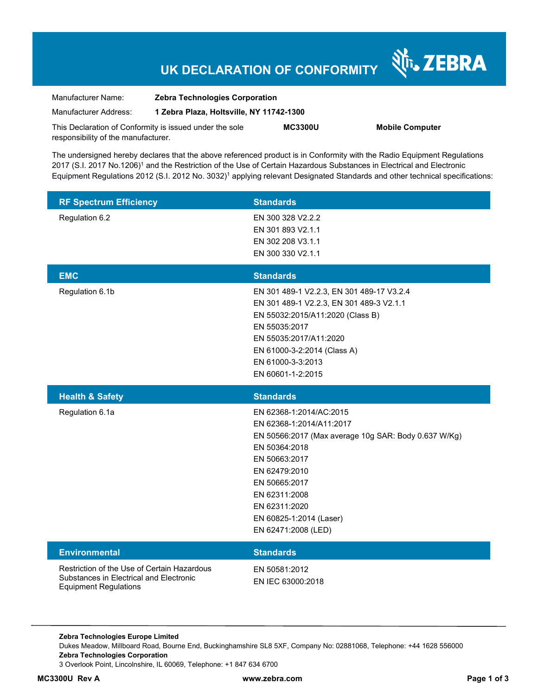## **UK DECLARATION OF CONFORMITY**

| Manufacturer Name:                                      | <b>Zebra Technologies Corporation</b><br>1 Zebra Plaza, Holtsville, NY 11742-1300 |                |               |
|---------------------------------------------------------|-----------------------------------------------------------------------------------|----------------|---------------|
| Manufacturer Address:                                   |                                                                                   |                |               |
| This Declaration of Conformity is issued under the sole |                                                                                   | <b>MC3300U</b> | <b>Mobile</b> |
| responsibility of the manufacturer.                     |                                                                                   |                |               |

**Computer** 

Nr. ZEBRA

The undersigned hereby declares that the above referenced product is in Conformity with the Radio Equipment Regulations 2017 (S.I. 2017 No.1206)<sup>1</sup> and the Restriction of the Use of Certain Hazardous Substances in Electrical and Electronic Equipment Regulations 2012 (S.I. 2012 No. 3032)<sup>1</sup> applying relevant Designated Standards and other technical specifications:

| <b>RF Spectrum Efficiency</b>                                                                                          | <b>Standards</b>                                                                                                                                                                                                                                                    |
|------------------------------------------------------------------------------------------------------------------------|---------------------------------------------------------------------------------------------------------------------------------------------------------------------------------------------------------------------------------------------------------------------|
| Regulation 6.2                                                                                                         | EN 300 328 V2.2.2<br>EN 301 893 V2.1.1<br>EN 302 208 V3.1.1<br>EN 300 330 V2.1.1                                                                                                                                                                                    |
| <b>EMC</b>                                                                                                             | <b>Standards</b>                                                                                                                                                                                                                                                    |
| Regulation 6.1b                                                                                                        | EN 301 489-1 V2.2.3, EN 301 489-17 V3.2.4<br>EN 301 489-1 V2.2.3, EN 301 489-3 V2.1.1<br>EN 55032:2015/A11:2020 (Class B)<br>EN 55035:2017<br>EN 55035:2017/A11:2020<br>EN 61000-3-2:2014 (Class A)<br>EN 61000-3-3:2013<br>EN 60601-1-2:2015                       |
| <b>Health &amp; Safety</b>                                                                                             | <b>Standards</b>                                                                                                                                                                                                                                                    |
| Regulation 6.1a                                                                                                        | EN 62368-1:2014/AC:2015<br>EN 62368-1:2014/A11:2017<br>EN 50566:2017 (Max average 10g SAR: Body 0.637 W/Kg)<br>EN 50364:2018<br>EN 50663:2017<br>EN 62479:2010<br>EN 50665:2017<br>EN 62311:2008<br>EN 62311:2020<br>EN 60825-1:2014 (Laser)<br>EN 62471:2008 (LED) |
| <b>Environmental</b>                                                                                                   | <b>Standards</b>                                                                                                                                                                                                                                                    |
| Restriction of the Use of Certain Hazardous<br>Substances in Electrical and Electronic<br><b>Equipment Regulations</b> | EN 50581:2012<br>EN IEC 63000:2018                                                                                                                                                                                                                                  |

**Zebra Technologies Europe Limited**  Dukes Meadow, Millboard Road, Bourne End, Buckinghamshire SL8 5XF, Company No: 02881068, Telephone: +44 1628 556000 **Zebra Technologies Corporation**  3 Overlook Point, Lincolnshire, IL 60069, Telephone: +1 847 634 6700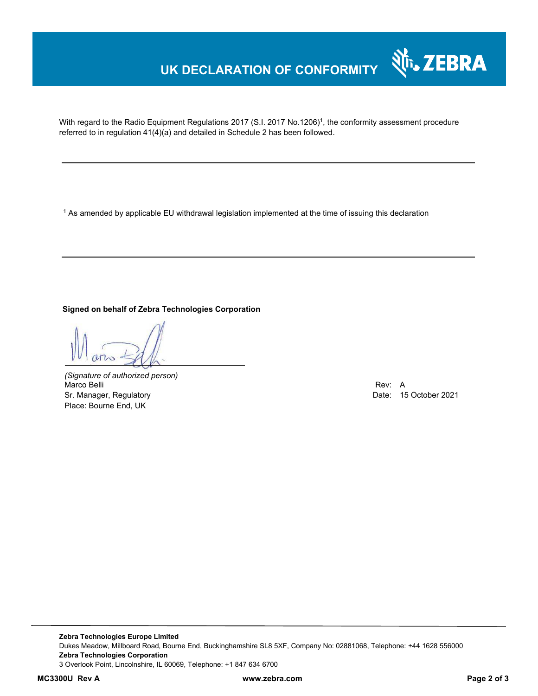## **UK DECLARATION OF CONFORMITY**

With regard to the Radio Equipment Regulations 2017 (S.I. 2017 No.1206)<sup>1</sup>, the conformity assessment procedure referred to in regulation 41(4)(a) and detailed in Schedule 2 has been followed.

 $^{\rm 1}$  As amended by applicable EU withdrawal legislation implemented at the time of issuing this declaration

### **Signed on behalf of Zebra Technologies Corporation**

*(Signature of authorized person)* Marco Belli Rev: A Alexander Communication of the Communication of the Communication of the Communication of the Communication of the Communication of the Communication of the Communication of the Communication of the Comm Sr. Manager, Regulatory **Date: 15 October 2021** Place: Bourne End, UK

Nr. ZEBRA